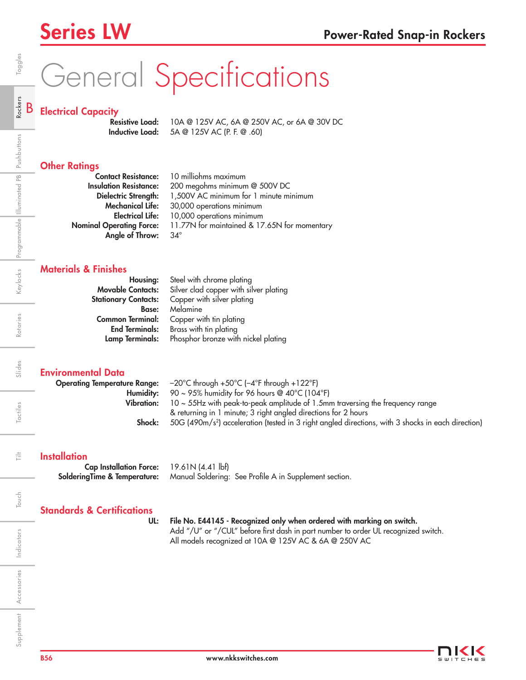# General Specifications

## Electrical Capacity

**Resistive Load:** 10A @ 125V AC, 6A @ 250V AC, or 6A @ 30V DC Inductive Load: 5A @ 125V AC (P. F. @ .60)

## **Other Ratings**

| <b>Contact Resistance:</b>      | 10 milliohms maximum                         |
|---------------------------------|----------------------------------------------|
| <b>Insulation Resistance:</b>   | 200 megohms minimum @ 500V DC                |
| Dielectric Strength:            | 1,500V AC minimum for 1 minute minimum       |
| <b>Mechanical Life:</b>         | 30,000 operations minimum                    |
| <b>Electrical Life:</b>         | 10,000 operations minimum                    |
| <b>Nominal Operating Force:</b> | 11.77N for maintained & 17.65N for momentary |
| Angle of Throw:                 | $34^\circ$                                   |

#### Materials & Finishes

| Housing:                    | Steel with chrome plating              |  |  |  |  |  |  |
|-----------------------------|----------------------------------------|--|--|--|--|--|--|
| <b>Movable Contacts:</b>    | Silver clad copper with silver plating |  |  |  |  |  |  |
| <b>Stationary Contacts:</b> | Copper with silver plating             |  |  |  |  |  |  |
| <b>Base:</b>                | Melamine                               |  |  |  |  |  |  |
| <b>Common Terminal:</b>     | Copper with tin plating                |  |  |  |  |  |  |
| <b>End Terminals:</b>       | Brass with tin plating                 |  |  |  |  |  |  |
| Lamp Terminals:             | Phosphor bronze with nickel plating    |  |  |  |  |  |  |

#### Environmental Data

|            | <b>Operating Temperature Range:</b> $-20^{\circ}$ C through $+50^{\circ}$ C ( $-4^{\circ}$ F through $+122^{\circ}$ F) |
|------------|------------------------------------------------------------------------------------------------------------------------|
|            | <b>Humidity:</b> 90 ~ 95% humidity for 96 hours @ 40°C (104°F)                                                         |
| Vibration: | $10 \sim 55$ Hz with peak-to-peak amplitude of 1.5mm traversing the frequency range                                    |
|            | & returning in 1 minute; 3 right angled directions for 2 hours                                                         |
| Shock:     | 50G (490m/s <sup>2</sup> ) acceleration (tested in 3 right angled directions, with 3 shocks in each direction)         |

#### **Installation**

Cap Installation Force: 19.61N (4.41 lbf) SolderingTime & Temperature: Manual Soldering: See Profile A in Supplement section.

## Standards & Certifications

#### UL: File No. E44145 - Recognized only when ordered with marking on switch.

Add "/U" or "/CUL" before first dash in part number to order UL recognized switch. All models recognized at 10A @ 125V AC & 6A @ 250V AC

Rotaries

Slides

Tactiles

言

B

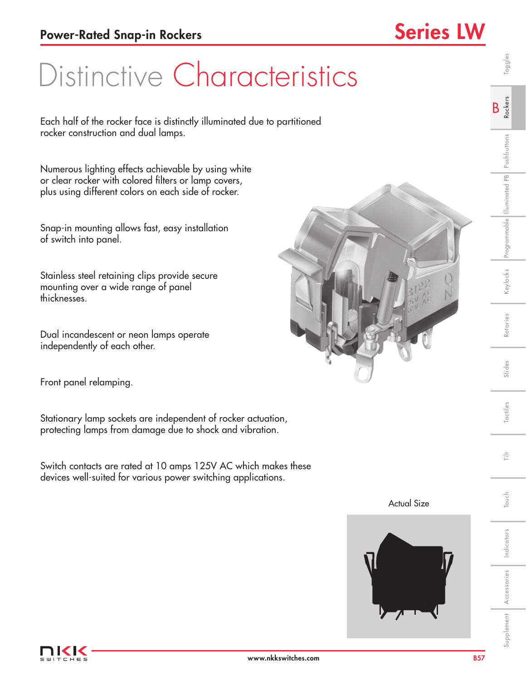## Distinctive Characteristics

Each half of the rocker face is distinctly illuminated due to partitioned rocker construction and dual lamps.

Numerous lighting effects achievable by using white or clear rocker with colored filters or lamp covers, plus using different colors on each side of rocker.

Snap-in mounting allows fast, easy installation of switch into panel.

Stainless steel retaining clips provide secure mounting over a wide range of panel thicknesses.

Dual incandescent or neon lamps operate independently of each other.

Front panel relamping.

Stationary lamp sockets are independent of rocker actuation, protecting lamps from damage due to shock and vibration.

Switch contacts are rated at 10 amps 125V AC which makes these devices well-suited for various power switching applications.







Indicators

Indicators

Touch Tilt

Touch

言

Supplement Accessories Indicators I Touch I Tactiles I Slides I Rotaries Keylocks Programmable Illuminated Pushbuttons R**ockers** I Toggles

Slides

Tactiles

Rotaries

Keylocks Programmable Illuminated PB Pushbuttons

B Rockers

Toggles

Accessories

Supplement Accessories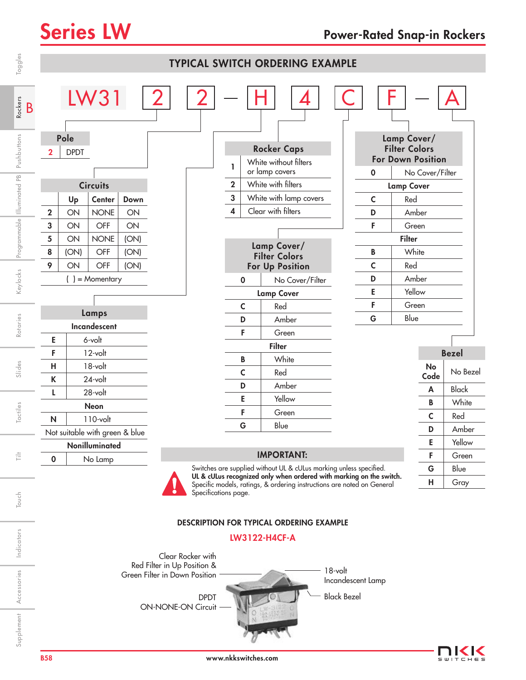| Toggles                                                                | <b>TYPICAL SWITCH ORDERING EXAMPLE</b> |                                                           |                                                                                                              |                                          |                                                              |                      |                                             |                                                                                                                                                                                                                  |                    |                                                                |            |                                                                                                                                                              |              |  |
|------------------------------------------------------------------------|----------------------------------------|-----------------------------------------------------------|--------------------------------------------------------------------------------------------------------------|------------------------------------------|--------------------------------------------------------------|----------------------|---------------------------------------------|------------------------------------------------------------------------------------------------------------------------------------------------------------------------------------------------------------------|--------------------|----------------------------------------------------------------|------------|--------------------------------------------------------------------------------------------------------------------------------------------------------------|--------------|--|
| Rockers<br>B<br>Pushbuttons<br>Programmable Illuminated PB<br>Keylocks | 2<br>$\mathbf 2$<br>3<br>5<br>8<br>9   | Pole<br><b>DPDT</b><br>Up<br>ON<br>ON<br>ON<br>(ON)<br>ON | <b>LW31</b><br><b>Circuits</b><br>Center<br><b>NONE</b><br>OFF<br><b>NONE</b><br>OFF<br>OFF<br>) = Momentary | Down<br>ON<br>ON<br>(ON)<br>(ON)<br>(ON) |                                                              |                      | ı<br>$\mathbf{2}$<br>$\mathbf{3}$<br>4<br>0 | <b>Rocker Caps</b><br>White without filters<br>or lamp covers<br>White with filters<br>White with lamp covers<br>Clear with filters<br>Lamp Cover/<br><b>Filter Colors</b><br>For Up Position<br>No Cover/Filter |                    | $\mathbf 0$<br>$\mathsf{C}$<br>D<br>F<br>B<br>$\mathsf c$<br>D | Red<br>Red | Lamp Cover/<br><b>Filter Colors</b><br><b>For Down Position</b><br>No Cover/Filter<br><b>Lamp Cover</b><br>Amber<br>Green<br><b>Filter</b><br>White<br>Amber |              |  |
|                                                                        |                                        |                                                           |                                                                                                              |                                          |                                                              |                      |                                             | <b>Lamp Cover</b>                                                                                                                                                                                                |                    | E                                                              | Yellow     |                                                                                                                                                              |              |  |
|                                                                        |                                        |                                                           | Lamps                                                                                                        |                                          |                                                              |                      | C                                           | Red                                                                                                                                                                                                              |                    | F                                                              | Green      |                                                                                                                                                              |              |  |
| Rotaries                                                               |                                        |                                                           | Incandescent                                                                                                 |                                          |                                                              |                      | D                                           | Amber                                                                                                                                                                                                            |                    | G                                                              | Blue       |                                                                                                                                                              |              |  |
|                                                                        | Е                                      |                                                           | 6-volt                                                                                                       |                                          |                                                              |                      | F                                           | Green                                                                                                                                                                                                            |                    |                                                                |            |                                                                                                                                                              |              |  |
|                                                                        | F<br>12-volt                           |                                                           |                                                                                                              |                                          |                                                              |                      |                                             | <b>Filter</b><br>White                                                                                                                                                                                           |                    |                                                                |            |                                                                                                                                                              | <b>Bezel</b> |  |
| Slides                                                                 | Н                                      |                                                           | 18-volt                                                                                                      |                                          |                                                              |                      | B<br>C                                      | Red                                                                                                                                                                                                              |                    |                                                                |            | No                                                                                                                                                           | No Bezel     |  |
|                                                                        | 24-volt<br>K                           |                                                           |                                                                                                              |                                          |                                                              |                      | D                                           | Amber                                                                                                                                                                                                            |                    |                                                                |            | Code                                                                                                                                                         |              |  |
|                                                                        | L                                      |                                                           | 28-volt                                                                                                      |                                          |                                                              |                      | Ε                                           | Yellow                                                                                                                                                                                                           |                    |                                                                |            | A                                                                                                                                                            | <b>Black</b> |  |
| Tactiles                                                               |                                        |                                                           | Neon                                                                                                         |                                          |                                                              |                      | F                                           | Green                                                                                                                                                                                                            |                    |                                                                |            | B                                                                                                                                                            | White        |  |
|                                                                        | N                                      |                                                           | $110$ -volt                                                                                                  |                                          |                                                              |                      | G                                           | Blue                                                                                                                                                                                                             |                    |                                                                |            | $\mathsf{C}$                                                                                                                                                 | Red          |  |
|                                                                        |                                        |                                                           | Not suitable with green & blue                                                                               |                                          |                                                              |                      |                                             |                                                                                                                                                                                                                  |                    |                                                                |            | D                                                                                                                                                            | Amber        |  |
|                                                                        |                                        |                                                           | Nonilluminated                                                                                               |                                          |                                                              |                      |                                             |                                                                                                                                                                                                                  |                    |                                                                | Ε          | Yellow                                                                                                                                                       |              |  |
| 言                                                                      | $\mathbf 0$                            |                                                           | No Lamp                                                                                                      |                                          |                                                              |                      |                                             | <b>IMPORTANT:</b><br>Switches are supplied without UL & cULus marking unless specified.                                                                                                                          |                    |                                                                |            | F                                                                                                                                                            | Green        |  |
|                                                                        |                                        |                                                           |                                                                                                              |                                          |                                                              |                      |                                             | UL & cULus recognized only when ordered with marking on the switch.                                                                                                                                              |                    |                                                                |            | G<br>н                                                                                                                                                       | Blue<br>Gray |  |
| Touch                                                                  |                                        |                                                           |                                                                                                              |                                          |                                                              | Specifications page. |                                             | Specific models, ratings, & ordering instructions are noted on General                                                                                                                                           |                    |                                                                |            |                                                                                                                                                              |              |  |
|                                                                        |                                        |                                                           |                                                                                                              |                                          |                                                              |                      |                                             | <b>DESCRIPTION FOR TYPICAL ORDERING EXAMPLE</b>                                                                                                                                                                  |                    |                                                                |            |                                                                                                                                                              |              |  |
| Indicators                                                             |                                        |                                                           |                                                                                                              |                                          |                                                              | Clear Rocker with    |                                             | <b>LW3122-H4CF-A</b>                                                                                                                                                                                             |                    |                                                                |            |                                                                                                                                                              |              |  |
|                                                                        |                                        |                                                           |                                                                                                              |                                          | Red Filter in Up Position &<br>Green Filter in Down Position |                      |                                             |                                                                                                                                                                                                                  | $18$ -volt         |                                                                |            |                                                                                                                                                              |              |  |
| Accessories                                                            |                                        |                                                           |                                                                                                              |                                          |                                                              |                      |                                             |                                                                                                                                                                                                                  | Incandescent Lamp  |                                                                |            |                                                                                                                                                              |              |  |
|                                                                        |                                        |                                                           |                                                                                                              |                                          |                                                              | <b>DPDT</b>          |                                             |                                                                                                                                                                                                                  | <b>Black Bezel</b> |                                                                |            |                                                                                                                                                              |              |  |
| Supplement                                                             |                                        |                                                           |                                                                                                              |                                          | <b>ON-NONE-ON Circuit</b>                                    |                      |                                             |                                                                                                                                                                                                                  |                    |                                                                |            |                                                                                                                                                              |              |  |

#### DESCRIPTION FOR TYPICAL ORDERING EXAMPLE

### LW3122-H4CF-A

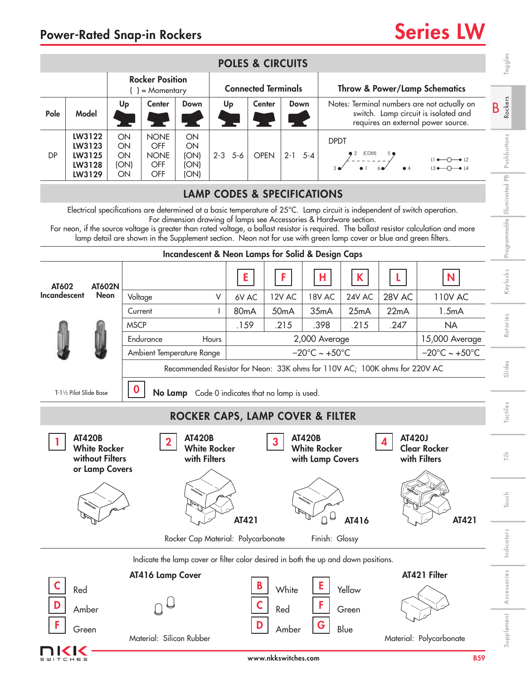|                                                                                                                                                                                                                                                                                                                                                                                                                                                                   | <b>POLES &amp; CIRCUITS</b>                                               |                                             |                                                                                |                                                 |                                                      |         |                                                             |              |                           |                                                          |                  | Toggles                                                                                                                   |                                                                            |                                     |                          |
|-------------------------------------------------------------------------------------------------------------------------------------------------------------------------------------------------------------------------------------------------------------------------------------------------------------------------------------------------------------------------------------------------------------------------------------------------------------------|---------------------------------------------------------------------------|---------------------------------------------|--------------------------------------------------------------------------------|-------------------------------------------------|------------------------------------------------------|---------|-------------------------------------------------------------|--------------|---------------------------|----------------------------------------------------------|------------------|---------------------------------------------------------------------------------------------------------------------------|----------------------------------------------------------------------------|-------------------------------------|--------------------------|
|                                                                                                                                                                                                                                                                                                                                                                                                                                                                   |                                                                           | <b>Rocker Position</b><br>$( ) =$ Momentary |                                                                                |                                                 |                                                      |         | <b>Connected Terminals</b>                                  |              |                           |                                                          |                  |                                                                                                                           | <b>Throw &amp; Power/Lamp Schematics</b>                                   |                                     |                          |
| Pole                                                                                                                                                                                                                                                                                                                                                                                                                                                              | Model                                                                     | Up                                          | 75 -                                                                           | <b>Center</b>                                   | Down                                                 |         | <b>Center</b><br>Up                                         |              |                           | Down                                                     |                  | Notes: Terminal numbers are not actually on<br>switch. Lamp circuit is isolated and<br>requires an external power source. |                                                                            |                                     | <b>Rockers</b><br>B      |
| DP                                                                                                                                                                                                                                                                                                                                                                                                                                                                | LW3122<br>LW3123<br>LW3125<br>LW3128<br>LW3129                            | ON<br>ON<br>ON<br>(ON)<br>ON                |                                                                                | <b>NONE</b><br>OFF<br><b>NONE</b><br>OFF<br>OFF | ON<br>ON<br>(ON)<br>(ON)<br>(ON)                     | $2 - 3$ | <b>DPDT</b><br>$5 - 6$<br><b>OPEN</b><br>$2 - 1$<br>$5 - 4$ |              |                           |                                                          |                  | Pushbuttons                                                                                                               |                                                                            |                                     |                          |
| <b>LAMP CODES &amp; SPECIFICATIONS</b>                                                                                                                                                                                                                                                                                                                                                                                                                            |                                                                           |                                             |                                                                                |                                                 |                                                      |         |                                                             |              |                           |                                                          |                  |                                                                                                                           |                                                                            |                                     |                          |
| Electrical specifications are determined at a basic temperature of 25°C. Lamp circuit is independent of switch operation.<br>For dimension drawing of lamps see Accessories & Hardware section.<br>For neon, if the source voltage is greater than rated voltage, a ballast resistor is required. The ballast resistor calculation and more<br>lamp detail are shown in the Supplement section. Neon not for use with green lamp cover or blue and green filters. |                                                                           |                                             |                                                                                |                                                 |                                                      |         |                                                             |              |                           |                                                          |                  | Programmable Illuminated PB                                                                                               |                                                                            |                                     |                          |
| Incandescent & Neon Lamps for Solid & Design Caps                                                                                                                                                                                                                                                                                                                                                                                                                 |                                                                           |                                             |                                                                                |                                                 |                                                      |         |                                                             |              |                           |                                                          |                  |                                                                                                                           |                                                                            |                                     |                          |
| AT602                                                                                                                                                                                                                                                                                                                                                                                                                                                             | <b>AT602N</b>                                                             |                                             |                                                                                |                                                 |                                                      |         | E                                                           |              | F                         | н                                                        |                  | K                                                                                                                         |                                                                            | N                                   | Keylocks                 |
| Incandescent                                                                                                                                                                                                                                                                                                                                                                                                                                                      | <b>Neon</b>                                                               |                                             | Voltage                                                                        |                                                 |                                                      | V<br>L  | 6V AC                                                       |              | 12V AC                    | 18V AC                                                   |                  | 24V AC                                                                                                                    | 28V AC                                                                     | <b>110V AC</b>                      |                          |
|                                                                                                                                                                                                                                                                                                                                                                                                                                                                   |                                                                           | Current<br><b>MSCP</b>                      |                                                                                |                                                 |                                                      |         | 80 <sub>m</sub> A<br>.159                                   |              | 50 <sub>m</sub> A<br>.215 | 35mA                                                     |                  | 25mA<br>.215                                                                                                              | 22mA<br>.247                                                               | 1.5mA<br><b>NA</b>                  | Rotaries                 |
|                                                                                                                                                                                                                                                                                                                                                                                                                                                                   |                                                                           |                                             |                                                                                | Endurance                                       |                                                      | Hours   |                                                             |              | .398<br>2,000 Average     |                                                          |                  |                                                                                                                           |                                                                            | 15,000 Average                      |                          |
|                                                                                                                                                                                                                                                                                                                                                                                                                                                                   |                                                                           |                                             |                                                                                | Ambient Temperature Range                       |                                                      |         | $-20^{\circ}$ C ~ +50 $^{\circ}$ C                          |              |                           |                                                          |                  |                                                                                                                           |                                                                            | $-20^{\circ}$ C ~ +50 $^{\circ}$ C  |                          |
|                                                                                                                                                                                                                                                                                                                                                                                                                                                                   |                                                                           |                                             |                                                                                |                                                 |                                                      |         |                                                             |              |                           |                                                          |                  |                                                                                                                           | Recommended Resistor for Neon: 33K ohms for 110V AC; 100K ohms for 220V AC |                                     | Slides                   |
|                                                                                                                                                                                                                                                                                                                                                                                                                                                                   | T-11/2 Pilot Slide Base                                                   |                                             |                                                                                |                                                 | No Lamp Code 0 indicates that no lamp is used.       |         |                                                             |              |                           |                                                          |                  |                                                                                                                           |                                                                            |                                     |                          |
|                                                                                                                                                                                                                                                                                                                                                                                                                                                                   |                                                                           |                                             |                                                                                |                                                 | <b>ROCKER CAPS, LAMP COVER &amp; FILTER</b>          |         |                                                             |              |                           |                                                          |                  |                                                                                                                           |                                                                            |                                     | Tactiles                 |
|                                                                                                                                                                                                                                                                                                                                                                                                                                                                   | <b>AT420B</b><br><b>White Rocker</b><br>without Filters<br>or Lamp Covers |                                             |                                                                                | $\mathbf 2$                                     | <b>AT420B</b><br><b>White Rocker</b><br>with Filters |         |                                                             | $\mathbf{3}$ |                           | <b>AT420B</b><br><b>White Rocker</b><br>with Lamp Covers |                  |                                                                                                                           | <b>AT420J</b><br>4                                                         | <b>Clear Rocker</b><br>with Filters | $\stackrel{\pm}{\equiv}$ |
|                                                                                                                                                                                                                                                                                                                                                                                                                                                                   |                                                                           |                                             |                                                                                |                                                 |                                                      |         | AT421                                                       |              |                           |                                                          | $\cup$<br>$\Box$ | AT416                                                                                                                     |                                                                            | AT421                               | Touch                    |
|                                                                                                                                                                                                                                                                                                                                                                                                                                                                   | Rocker Cap Material: Polycarbonate<br>Finish: Glossy                      |                                             |                                                                                |                                                 |                                                      |         |                                                             |              |                           |                                                          |                  |                                                                                                                           | Indicators                                                                 |                                     |                          |
|                                                                                                                                                                                                                                                                                                                                                                                                                                                                   |                                                                           |                                             |                                                                                |                                                 |                                                      |         |                                                             |              |                           |                                                          |                  | Indicate the lamp cover or filter color desired in both the up and down positions.                                        |                                                                            |                                     |                          |
| AT416 Lamp Cover<br>Red                                                                                                                                                                                                                                                                                                                                                                                                                                           |                                                                           |                                             |                                                                                |                                                 |                                                      |         | White<br>Yellow                                             |              |                           |                                                          |                  |                                                                                                                           | AT421 Filter                                                               |                                     |                          |
|                                                                                                                                                                                                                                                                                                                                                                                                                                                                   | Amber                                                                     |                                             |                                                                                |                                                 |                                                      |         | Red<br>Green                                                |              |                           |                                                          |                  |                                                                                                                           |                                                                            |                                     | Accessories              |
| F                                                                                                                                                                                                                                                                                                                                                                                                                                                                 | Green                                                                     |                                             | D<br>G<br>Blue<br>Amber<br>Material: Silicon Rubber<br>Material: Polycarbonate |                                                 |                                                      |         |                                                             |              |                           |                                                          |                  | Supplement                                                                                                                |                                                                            |                                     |                          |
| www.nkkswitches.com<br>$H \in S$                                                                                                                                                                                                                                                                                                                                                                                                                                  |                                                                           |                                             |                                                                                |                                                 |                                                      |         |                                                             |              |                           |                                                          |                  | <b>B59</b>                                                                                                                |                                                                            |                                     |                          |